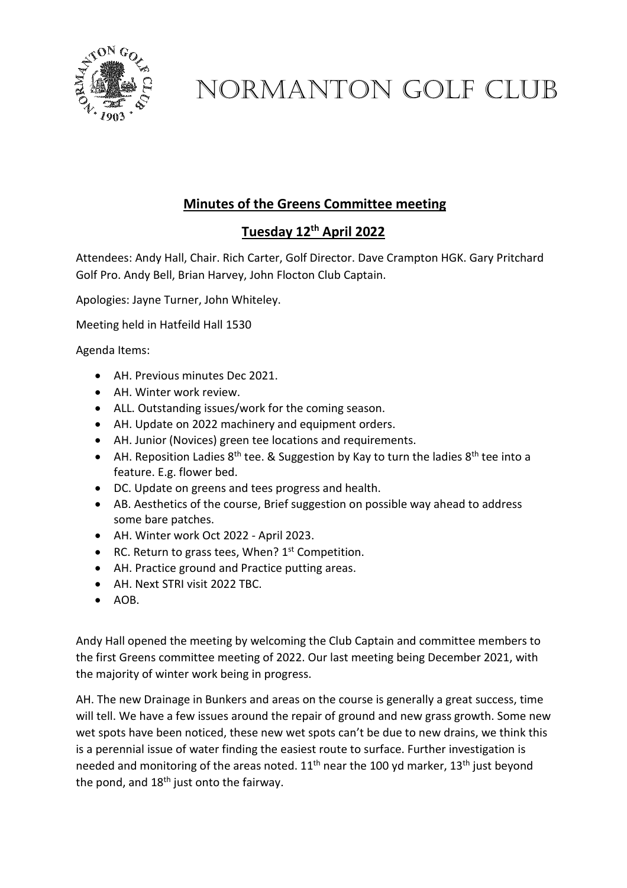

## NORMANTON GOLF CLUB

## **Minutes of the Greens Committee meeting**

## **Tuesday 12th April 2022**

Attendees: Andy Hall, Chair. Rich Carter, Golf Director. Dave Crampton HGK. Gary Pritchard Golf Pro. Andy Bell, Brian Harvey, John Flocton Club Captain.

Apologies: Jayne Turner, John Whiteley.

Meeting held in Hatfeild Hall 1530

Agenda Items:

- AH. Previous minutes Dec 2021.
- AH. Winter work review.
- ALL. Outstanding issues/work for the coming season.
- AH. Update on 2022 machinery and equipment orders.
- AH. Junior (Novices) green tee locations and requirements.
- AH. Reposition Ladies  $8<sup>th</sup>$  tee. & Suggestion by Kay to turn the ladies  $8<sup>th</sup>$  tee into a feature. E.g. flower bed.
- DC. Update on greens and tees progress and health.
- AB. Aesthetics of the course, Brief suggestion on possible way ahead to address some bare patches.
- AH. Winter work Oct 2022 April 2023.
- RC. Return to grass tees, When?  $1<sup>st</sup>$  Competition.
- AH. Practice ground and Practice putting areas.
- AH. Next STRI visit 2022 TBC.
- AOB.

Andy Hall opened the meeting by welcoming the Club Captain and committee members to the first Greens committee meeting of 2022. Our last meeting being December 2021, with the majority of winter work being in progress.

AH. The new Drainage in Bunkers and areas on the course is generally a great success, time will tell. We have a few issues around the repair of ground and new grass growth. Some new wet spots have been noticed, these new wet spots can't be due to new drains, we think this is a perennial issue of water finding the easiest route to surface. Further investigation is needed and monitoring of the areas noted.  $11<sup>th</sup>$  near the 100 yd marker,  $13<sup>th</sup>$  just beyond the pond, and  $18<sup>th</sup>$  just onto the fairway.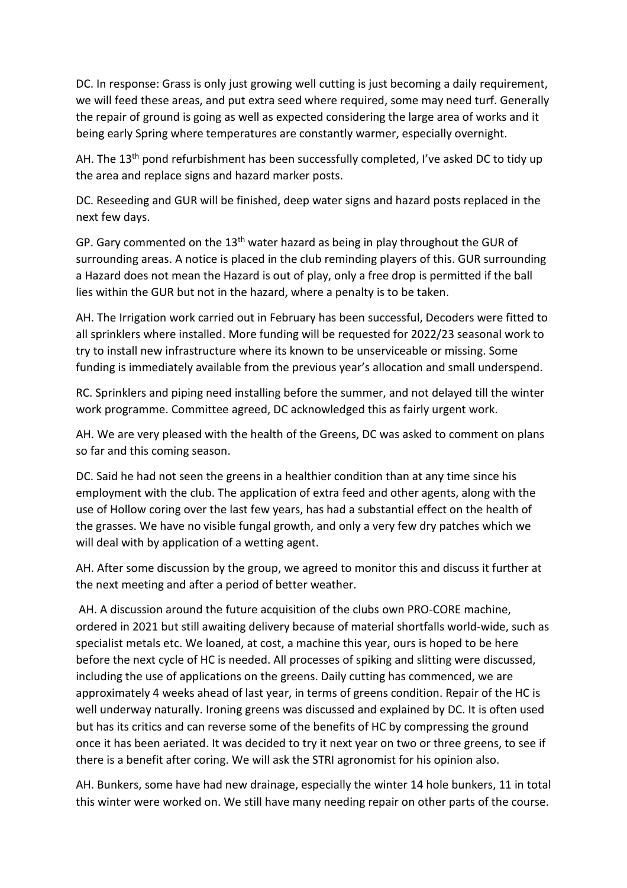DC. In response: Grass is only just growing well cutting is just becoming a daily requirement, we will feed these areas, and put extra seed where required, some may need turf. Generally the repair of ground is going as well as expected considering the large area of works and it being early Spring where temperatures are constantly warmer, especially overnight.

AH. The 13<sup>th</sup> pond refurbishment has been successfully completed, I've asked DC to tidy up the area and replace signs and hazard marker posts.

DC. Reseeding and GUR will be finished, deep water signs and hazard posts replaced in the next few days.

GP. Gary commented on the 13th water hazard as being in play throughout the GUR of surrounding areas. A notice is placed in the club reminding players of this. GUR surrounding a Hazard does not mean the Hazard is out of play, only a free drop is permitted if the ball lies within the GUR but not in the hazard, where a penalty is to be taken.

AH. The Irrigation work carried out in February has been successful, Decoders were fitted to all sprinklers where installed. More funding will be requested for 2022/23 seasonal work to try to install new infrastructure where its known to be unserviceable or missing. Some funding is immediately available from the previous year's allocation and small underspend.

RC. Sprinklers and piping need installing before the summer, and not delayed till the winter work programme. Committee agreed, DC acknowledged this as fairly urgent work.

AH. We are very pleased with the health of the Greens, DC was asked to comment on plans so far and this coming season.

DC. Said he had not seen the greens in a healthier condition than at any time since his employment with the club. The application of extra feed and other agents, along with the use of Hollow coring over the last few years, has had a substantial effect on the health of the grasses. We have no visible fungal growth, and only a very few dry patches which we will deal with by application of a wetting agent.

AH. After some discussion by the group, we agreed to monitor this and discuss it further at the next meeting and after a period of better weather.

AH. A discussion around the future acquisition of the clubs own PRO-CORE machine, ordered in 2021 but still awaiting delivery because of material shortfalls world-wide, such as specialist metals etc. We loaned, at cost, a machine this year, ours is hoped to be here before the next cycle of HC is needed. All processes of spiking and slitting were discussed, including the use of applications on the greens. Daily cutting has commenced, we are approximately 4 weeks ahead of last year, in terms of greens condition. Repair of the HC is well underway naturally. Ironing greens was discussed and explained by DC. It is often used but has its critics and can reverse some of the benefits of HC by compressing the ground once it has been aeriated. It was decided to try it next year on two or three greens, to see if there is a benefit after coring. We will ask the STRI agronomist for his opinion also.

AH. Bunkers, some have had new drainage, especially the winter 14 hole bunkers, 11 in total this winter were worked on. We still have many needing repair on other parts of the course.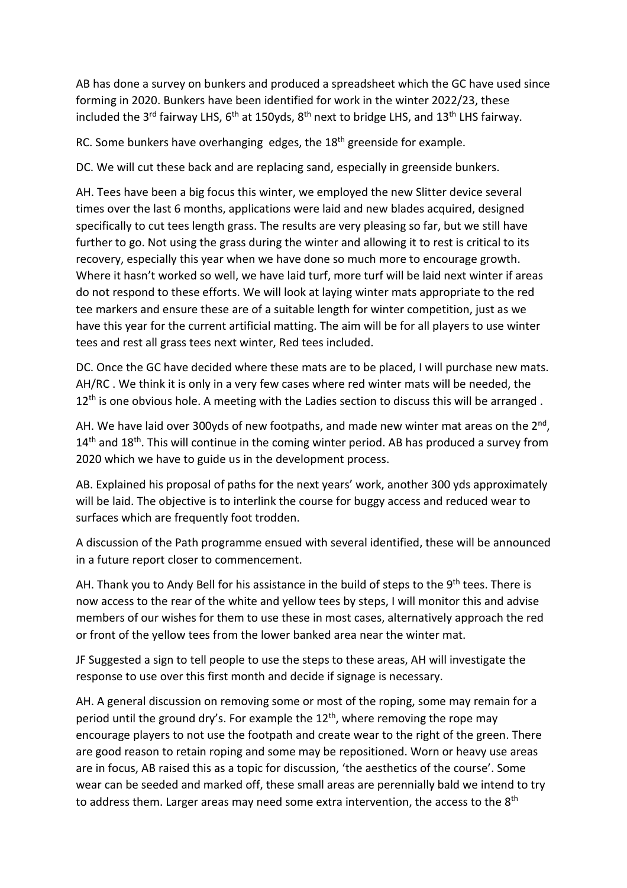AB has done a survey on bunkers and produced a spreadsheet which the GC have used since forming in 2020. Bunkers have been identified for work in the winter 2022/23, these included the 3<sup>rd</sup> fairway LHS,  $6<sup>th</sup>$  at 150yds,  $8<sup>th</sup>$  next to bridge LHS, and 13<sup>th</sup> LHS fairway.

RC. Some bunkers have overhanging edges, the 18<sup>th</sup> greenside for example.

DC. We will cut these back and are replacing sand, especially in greenside bunkers.

AH. Tees have been a big focus this winter, we employed the new Slitter device several times over the last 6 months, applications were laid and new blades acquired, designed specifically to cut tees length grass. The results are very pleasing so far, but we still have further to go. Not using the grass during the winter and allowing it to rest is critical to its recovery, especially this year when we have done so much more to encourage growth. Where it hasn't worked so well, we have laid turf, more turf will be laid next winter if areas do not respond to these efforts. We will look at laying winter mats appropriate to the red tee markers and ensure these are of a suitable length for winter competition, just as we have this year for the current artificial matting. The aim will be for all players to use winter tees and rest all grass tees next winter, Red tees included.

DC. Once the GC have decided where these mats are to be placed, I will purchase new mats. AH/RC . We think it is only in a very few cases where red winter mats will be needed, the 12<sup>th</sup> is one obvious hole. A meeting with the Ladies section to discuss this will be arranged.

AH. We have laid over 300yds of new footpaths, and made new winter mat areas on the  $2<sup>nd</sup>$ ,  $14<sup>th</sup>$  and  $18<sup>th</sup>$ . This will continue in the coming winter period. AB has produced a survey from 2020 which we have to guide us in the development process.

AB. Explained his proposal of paths for the next years' work, another 300 yds approximately will be laid. The objective is to interlink the course for buggy access and reduced wear to surfaces which are frequently foot trodden.

A discussion of the Path programme ensued with several identified, these will be announced in a future report closer to commencement.

AH. Thank you to Andy Bell for his assistance in the build of steps to the  $9<sup>th</sup>$  tees. There is now access to the rear of the white and yellow tees by steps, I will monitor this and advise members of our wishes for them to use these in most cases, alternatively approach the red or front of the yellow tees from the lower banked area near the winter mat.

JF Suggested a sign to tell people to use the steps to these areas, AH will investigate the response to use over this first month and decide if signage is necessary.

AH. A general discussion on removing some or most of the roping, some may remain for a period until the ground dry's. For example the  $12<sup>th</sup>$ , where removing the rope may encourage players to not use the footpath and create wear to the right of the green. There are good reason to retain roping and some may be repositioned. Worn or heavy use areas are in focus, AB raised this as a topic for discussion, 'the aesthetics of the course'. Some wear can be seeded and marked off, these small areas are perennially bald we intend to try to address them. Larger areas may need some extra intervention, the access to the 8<sup>th</sup>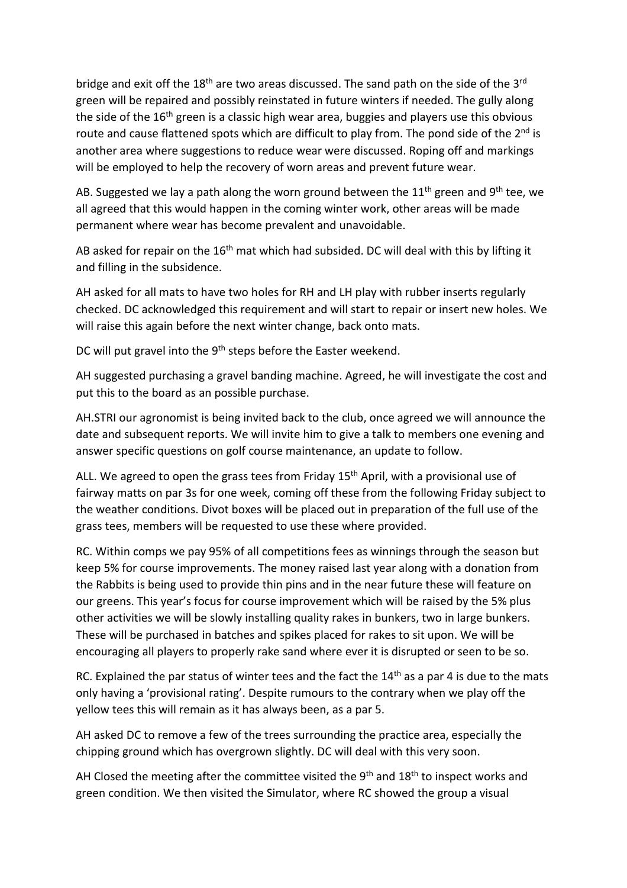bridge and exit off the 18<sup>th</sup> are two areas discussed. The sand path on the side of the 3<sup>rd</sup> green will be repaired and possibly reinstated in future winters if needed. The gully along the side of the 16<sup>th</sup> green is a classic high wear area, buggies and players use this obvious route and cause flattened spots which are difficult to play from. The pond side of the 2<sup>nd</sup> is another area where suggestions to reduce wear were discussed. Roping off and markings will be employed to help the recovery of worn areas and prevent future wear.

AB. Suggested we lay a path along the worn ground between the  $11<sup>th</sup>$  green and 9<sup>th</sup> tee, we all agreed that this would happen in the coming winter work, other areas will be made permanent where wear has become prevalent and unavoidable.

AB asked for repair on the 16<sup>th</sup> mat which had subsided. DC will deal with this by lifting it and filling in the subsidence.

AH asked for all mats to have two holes for RH and LH play with rubber inserts regularly checked. DC acknowledged this requirement and will start to repair or insert new holes. We will raise this again before the next winter change, back onto mats.

DC will put gravel into the 9<sup>th</sup> steps before the Easter weekend.

AH suggested purchasing a gravel banding machine. Agreed, he will investigate the cost and put this to the board as an possible purchase.

AH.STRI our agronomist is being invited back to the club, once agreed we will announce the date and subsequent reports. We will invite him to give a talk to members one evening and answer specific questions on golf course maintenance, an update to follow.

ALL. We agreed to open the grass tees from Friday  $15<sup>th</sup>$  April, with a provisional use of fairway matts on par 3s for one week, coming off these from the following Friday subject to the weather conditions. Divot boxes will be placed out in preparation of the full use of the grass tees, members will be requested to use these where provided.

RC. Within comps we pay 95% of all competitions fees as winnings through the season but keep 5% for course improvements. The money raised last year along with a donation from the Rabbits is being used to provide thin pins and in the near future these will feature on our greens. This year's focus for course improvement which will be raised by the 5% plus other activities we will be slowly installing quality rakes in bunkers, two in large bunkers. These will be purchased in batches and spikes placed for rakes to sit upon. We will be encouraging all players to properly rake sand where ever it is disrupted or seen to be so.

RC. Explained the par status of winter tees and the fact the  $14<sup>th</sup>$  as a par 4 is due to the mats only having a 'provisional rating'. Despite rumours to the contrary when we play off the yellow tees this will remain as it has always been, as a par 5.

AH asked DC to remove a few of the trees surrounding the practice area, especially the chipping ground which has overgrown slightly. DC will deal with this very soon.

AH Closed the meeting after the committee visited the  $9<sup>th</sup>$  and  $18<sup>th</sup>$  to inspect works and green condition. We then visited the Simulator, where RC showed the group a visual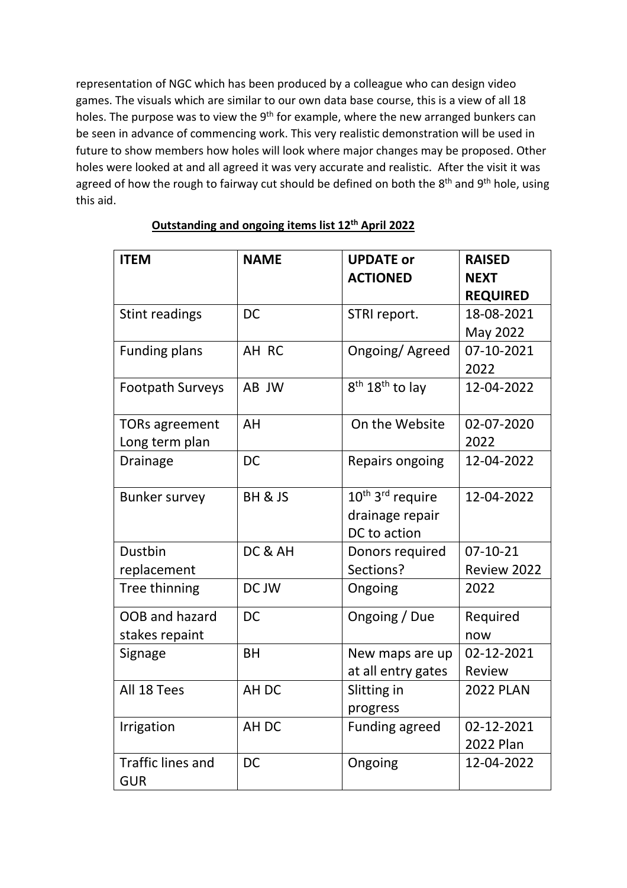representation of NGC which has been produced by a colleague who can design video games. The visuals which are similar to our own data base course, this is a view of all 18 holes. The purpose was to view the 9<sup>th</sup> for example, where the new arranged bunkers can be seen in advance of commencing work. This very realistic demonstration will be used in future to show members how holes will look where major changes may be proposed. Other holes were looked at and all agreed it was very accurate and realistic. After the visit it was agreed of how the rough to fairway cut should be defined on both the 8<sup>th</sup> and 9<sup>th</sup> hole, using this aid.

| <b>ITEM</b>                            | <b>NAME</b>      | <b>UPDATE or</b><br><b>ACTIONED</b>      | <b>RAISED</b><br><b>NEXT</b>  |
|----------------------------------------|------------------|------------------------------------------|-------------------------------|
| Stint readings                         | <b>DC</b>        | STRI report.                             | <b>REQUIRED</b><br>18-08-2021 |
|                                        |                  |                                          | May 2022                      |
| <b>Funding plans</b>                   | AH RC            | Ongoing/Agreed                           | 07-10-2021                    |
|                                        |                  |                                          | 2022                          |
| <b>Footpath Surveys</b>                | AB JW            | 8 <sup>th</sup> 18 <sup>th</sup> to lay  | 12-04-2022                    |
| <b>TORs agreement</b>                  | AH               | On the Website                           | 02-07-2020                    |
| Long term plan                         |                  |                                          | 2022                          |
| <b>Drainage</b>                        | <b>DC</b>        | Repairs ongoing                          | 12-04-2022                    |
| <b>Bunker survey</b>                   | BH & JS          | 10 <sup>th</sup> 3 <sup>rd</sup> require | 12-04-2022                    |
|                                        |                  | drainage repair                          |                               |
|                                        |                  | DC to action                             |                               |
| Dustbin                                | DC & AH          | Donors required                          | $07-10-21$                    |
| replacement                            |                  | Sections?                                | Review 2022                   |
| Tree thinning                          | DC JW            | Ongoing                                  | 2022                          |
| OOB and hazard                         | <b>DC</b>        | Ongoing / Due                            | Required                      |
| stakes repaint                         |                  |                                          | now                           |
| Signage                                | <b>BH</b>        | New maps are up                          | 02-12-2021                    |
|                                        |                  | at all entry gates                       | Review                        |
| All 18 Tees                            | AH DC            | Slitting in                              | <b>2022 PLAN</b>              |
|                                        |                  | progress                                 |                               |
| Irrigation                             | AH <sub>DC</sub> | <b>Funding agreed</b>                    | 02-12-2021                    |
|                                        |                  |                                          | <b>2022 Plan</b>              |
| <b>Traffic lines and</b><br><b>GUR</b> | <b>DC</b>        | Ongoing                                  | 12-04-2022                    |

## **Outstanding and ongoing items list 12th April 2022**